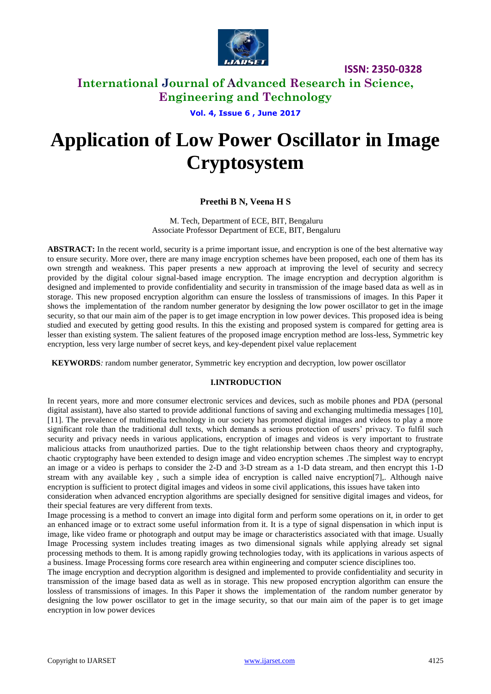

# **International Journal of Advanced Research in Science, Engineering and Technology**

**Vol. 4, Issue 6 , June 2017**

# **Application of Low Power Oscillator in Image Cryptosystem**

## **Preethi B N, Veena H S**

M. Tech, Department of ECE, BIT, Bengaluru Associate Professor Department of ECE, BIT, Bengaluru

**ABSTRACT:** In the recent world, security is a prime important issue, and encryption is one of the best alternative way to ensure security. More over, there are many image encryption schemes have been proposed, each one of them has its own strength and weakness. This paper presents a new approach at improving the level of security and secrecy provided by the digital colour signal-based image encryption. The image encryption and decryption algorithm is designed and implemented to provide confidentiality and security in transmission of the image based data as well as in storage. This new proposed encryption algorithm can ensure the lossless of transmissions of images. In this Paper it shows the implementation of the random number generator by designing the low power oscillator to get in the image security, so that our main aim of the paper is to get image encryption in low power devices. This proposed idea is being studied and executed by getting good results. In this the existing and proposed system is compared for getting area is lesser than existing system. The salient features of the proposed image encryption method are loss-less, Symmetric key encryption, less very large number of secret keys, and key-dependent pixel value replacement

**KEYWORDS***:* random number generator, Symmetric key encryption and decryption, low power oscillator

### **I.INTRODUCTION**

In recent years, more and more consumer electronic services and devices, such as mobile phones and PDA (personal digital assistant), have also started to provide additional functions of saving and exchanging multimedia messages [10], [11]. The prevalence of multimedia technology in our society has promoted digital images and videos to play a more significant role than the traditional dull texts, which demands a serious protection of users' privacy. To fulfil such security and privacy needs in various applications, encryption of images and videos is very important to frustrate malicious attacks from unauthorized parties. Due to the tight relationship between chaos theory and cryptography, chaotic cryptography have been extended to design image and video encryption schemes .The simplest way to encrypt an image or a video is perhaps to consider the 2-D and 3-D stream as a 1-D data stream, and then encrypt this 1-D stream with any available key, such a simple idea of encryption is called naive encryption[7],. Although naive encryption is sufficient to protect digital images and videos in some civil applications, this issues have taken into consideration when advanced encryption algorithms are specially designed for sensitive digital images and videos, for their special features are very different from texts.

Image processing is a method to convert an image into digital form and perform some operations on it, in order to get an enhanced image or to extract some useful information from it. It is a type of signal dispensation in which input is image, like video frame or photograph and output may be image or characteristics associated with that image. Usually Image Processing system includes treating images as two dimensional signals while applying already set signal processing methods to them. It is among rapidly growing technologies today, with its applications in various aspects of a business. Image Processing forms core research area within engineering and computer science disciplines too.

The image encryption and decryption algorithm is designed and implemented to provide confidentiality and security in transmission of the image based data as well as in storage. This new proposed encryption algorithm can ensure the lossless of transmissions of images. In this Paper it shows the implementation of the random number generator by designing the low power oscillator to get in the image security, so that our main aim of the paper is to get image encryption in low power devices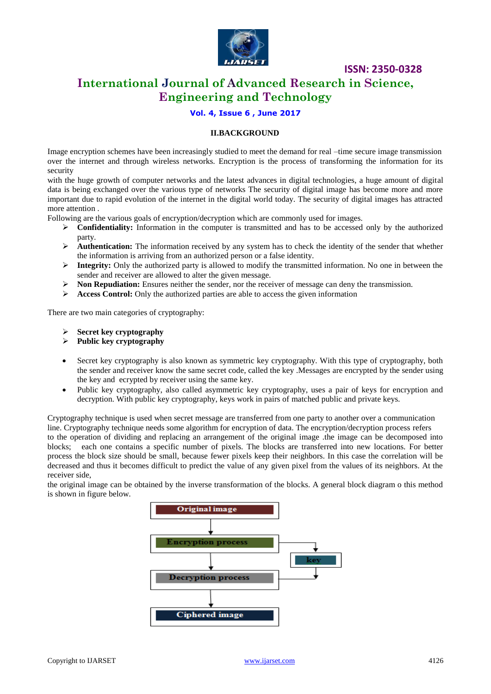

# **International Journal of Advanced Research in Science, Engineering and Technology**

#### **Vol. 4, Issue 6 , June 2017**

#### **II.BACKGROUND**

Image encryption schemes have been increasingly studied to meet the demand for real –time secure image transmission over the internet and through wireless networks. Encryption is the process of transforming the information for its security

with the huge growth of computer networks and the latest advances in digital technologies, a huge amount of digital data is being exchanged over the various type of networks The security of digital image has become more and more important due to rapid evolution of the internet in the digital world today. The security of digital images has attracted more attention .

Following are the various goals of encryption/decryption which are commonly used for images.

- **Confidentiality:** Information in the computer is transmitted and has to be accessed only by the authorized party.
- **Authentication:** The information received by any system has to check the identity of the sender that whether the information is arriving from an authorized person or a false identity.
- **Integrity:** Only the authorized party is allowed to modify the transmitted information. No one in between the sender and receiver are allowed to alter the given message.
- **Non Repudiation:** Ensures neither the sender, nor the receiver of message can deny the transmission.
- Access Control: Only the authorized parties are able to access the given information

There are two main categories of cryptography:

- **Secret key cryptography**
- **Public key cryptography**
- Secret key cryptography is also known as symmetric key cryptography. With this type of cryptography, both the sender and receiver know the same secret code, called the key .Messages are encrypted by the sender using the key and ecrypted by receiver using the same key.
- Public key cryptography, also called asymmetric key cryptography, uses a pair of keys for encryption and decryption. With public key cryptography, keys work in pairs of matched public and private keys.

Cryptography technique is used when secret message are transferred from one party to another over a communication line. Cryptography technique needs some algorithm for encryption of data. The encryption/decryption process refers to the operation of dividing and replacing an arrangement of the original image .the image can be decomposed into blocks; each one contains a specific number of pixels. The blocks are transferred into new locations. For better process the block size should be small, because fewer pixels keep their neighbors. In this case the correlation will be decreased and thus it becomes difficult to predict the value of any given pixel from the values of its neighbors. At the receiver side,

the original image can be obtained by the inverse transformation of the blocks. A general block diagram o this method is shown in figure below.

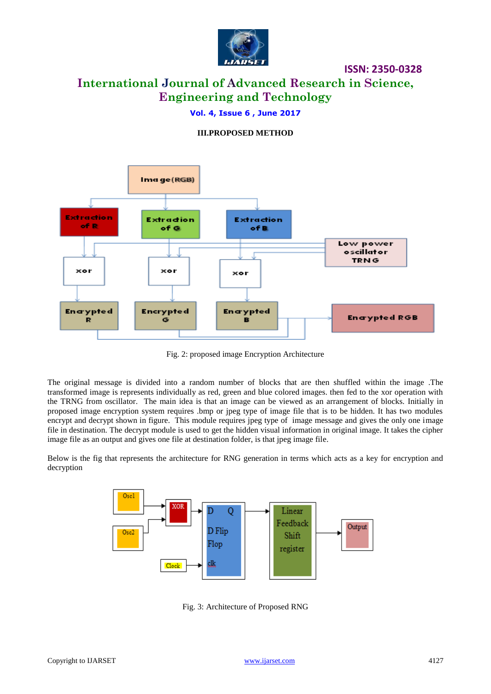

# **International Journal of Advanced Research in Science, Engineering and Technology**

### **Vol. 4, Issue 6 , June 2017**

### **III.PROPOSED METHOD**



Fig. 2: proposed image Encryption Architecture

The original message is divided into a random number of blocks that are then shuffled within the image .The transformed image is represents individually as red, green and blue colored images. then fed to the xor operation with the TRNG from oscillator. The main idea is that an image can be viewed as an arrangement of blocks. Initially in proposed image encryption system requires .bmp or jpeg type of image file that is to be hidden. It has two modules encrypt and decrypt shown in figure. This module requires jpeg type of image message and gives the only one image file in destination. The decrypt module is used to get the hidden visual information in original image. It takes the cipher image file as an output and gives one file at destination folder, is that jpeg image file.

Below is the fig that represents the architecture for RNG generation in terms which acts as a key for encryption and decryption



Fig. 3: Architecture of Proposed RNG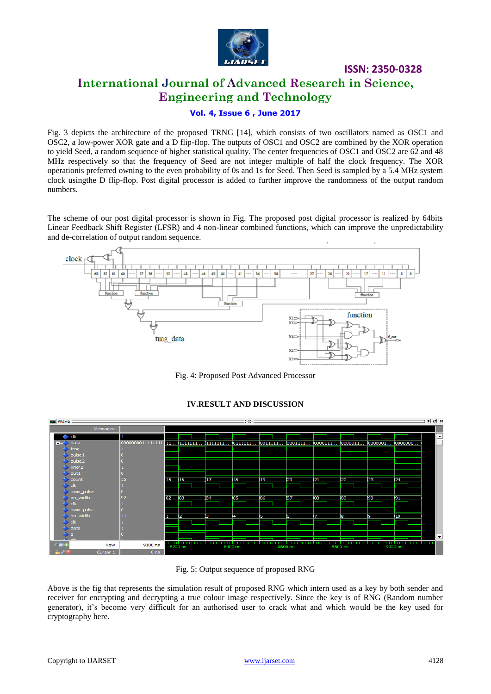

**ISSN: 2350-0328 International Journal of Advanced Research in Science, Engineering and Technology**

**Vol. 4, Issue 6 , June 2017**

Fig. 3 depicts the architecture of the proposed TRNG [14], which consists of two oscillators named as OSC1 and OSC2, a low-power XOR gate and a D flip-flop. The outputs of OSC1 and OSC2 are combined by the XOR operation to yield Seed, a random sequence of higher statistical quality. The center frequencies of OSC1 and OSC2 are 62 and 48 MHz respectively so that the frequency of Seed are not integer multiple of half the clock frequency. The XOR operationis preferred owning to the even probability of 0s and 1s for Seed. Then Seed is sampled by a 5.4 MHz system clock usingthe D flip-flop. Post digital processor is added to further improve the randomness of the output random numbers.

The scheme of our post digital processor is shown in Fig. The proposed post digital processor is realized by 64bits Linear Feedback Shift Register (LFSR) and 4 non-linear combined functions, which can improve the unpredictability and de-correlation of output random sequence.



Fig. 4: Proposed Post Advanced Processor



### **IV.RESULT AND DISCUSSION**

Fig. 5: Output sequence of proposed RNG

Above is the fig that represents the simulation result of proposed RNG which intern used as a key by both sender and receiver for encrypting and decrypting a true colour image respectively. Since the key is of RNG (Random number generator), it's become very difficult for an authorised user to crack what and which would be the key used for cryptography here.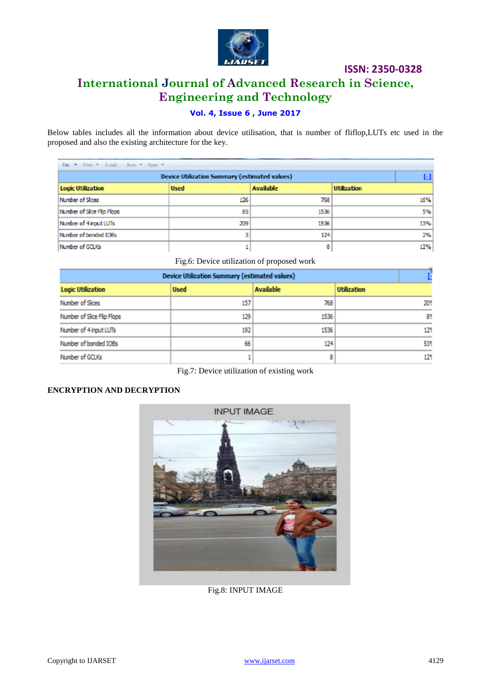

# **International Journal of Advanced Research in Science, Engineering and Technology**

# **Vol. 4, Issue 6 , June 2017**

Below tables includes all the information about device utilisation, that is number of fliflop,LUTs etc used in the proposed and also the existing architecture for the key.

| File * Print * E-mail Burn * Open *                  |             |                  |                    |  |  |
|------------------------------------------------------|-------------|------------------|--------------------|--|--|
| <b>Device Utilization Summary (estimated values)</b> |             |                  |                    |  |  |
| <b>Logic Utilization</b>                             | <b>Used</b> | <b>Available</b> | <b>Utilization</b> |  |  |
| Number of Slices                                     | 126         | 768              | 16%                |  |  |
| Number of Sice Fip Flops                             | 85          | 1536             | 5%                 |  |  |
| Number of 4 input LUTs                               | 209         | 1536             | 13%                |  |  |
| Number of bonded IOBs                                | 3           | 124              | 2%                 |  |  |
| Number of GCLKs                                      |             | 8                | 12%                |  |  |

Fig.6: Device utilization of proposed work

| <b>Device Utilization Summary (estimated values)</b> |             |                  |                    |
|------------------------------------------------------|-------------|------------------|--------------------|
| <b>Logic Utilization</b>                             | <b>Used</b> | <b>Available</b> | <b>Utilization</b> |
| Number of Slices                                     | 157         | 768              | 20°                |
| Number of Slice Flip Flops                           | 129         | 1536             | 89                 |
| Number of 4 input LUTs                               | 192         | 1536             | 12%                |
| Number of bonded IOBs                                | 66          | 124              | 53%                |
| Number of GCLKs                                      |             | 8                | 12%                |

Fig.7: Device utilization of existing work

### **ENCRYPTION AND DECRYPTION**



Fig.8: INPUT IMAGE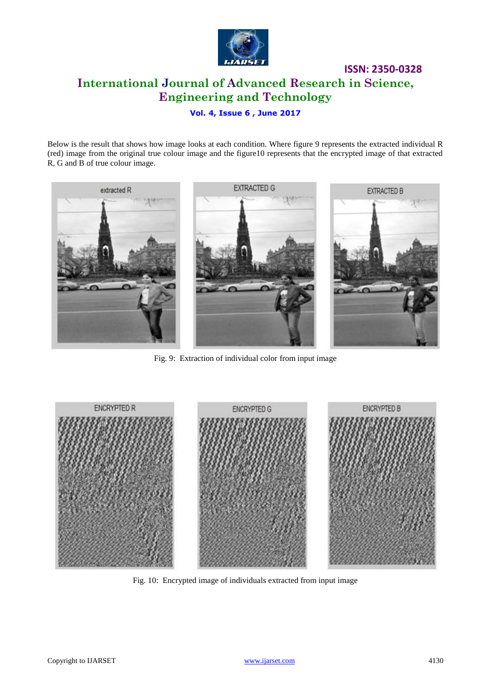

**ISSN: 2350-0328 International Journal of Advanced Research in Science, Engineering and Technology**

### **Vol. 4, Issue 6 , June 2017**

Below is the result that shows how image looks at each condition. Where figure 9 represents the extracted individual R (red) image from the original true colour image and the figure10 represents that the encrypted image of that extracted R, G and B of true colour image.



Fig. 9: Extraction of individual color from input image



Fig. 10: Encrypted image of individuals extracted from input image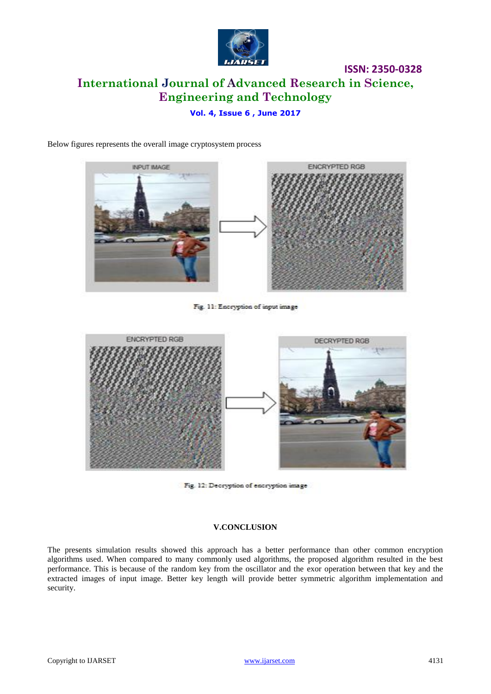

# **ISSN: 2350-0328 International Journal of Advanced Research in Science, Engineering and Technology**

### **Vol. 4, Issue 6 , June 2017**

Below figures represents the overall image cryptosystem process



Fig. 11: Encryption of input image



Fig. 12: Decryption of encryption image

#### **V.CONCLUSION**

The presents simulation results showed this approach has a better performance than other common encryption algorithms used. When compared to many commonly used algorithms, the proposed algorithm resulted in the best performance. This is because of the random key from the oscillator and the exor operation between that key and the extracted images of input image. Better key length will provide better symmetric algorithm implementation and security.